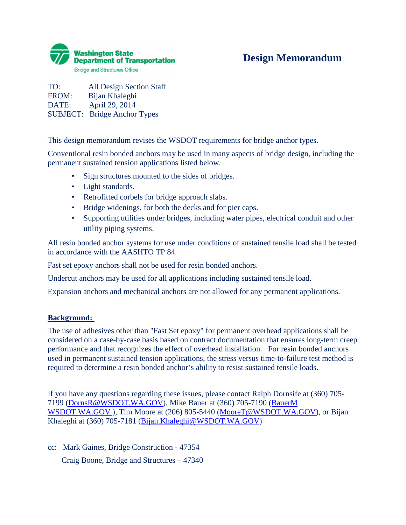

## **Design Memorandum**

TO: All Design Section Staff FROM: Bijan Khaleghi DATE: April 29, 2014 SUBJECT: Bridge Anchor Types

This design memorandum revises the WSDOT requirements for bridge anchor types.

Conventional resin bonded anchors may be used in many aspects of bridge design, including the permanent sustained tension applications listed below.

- Sign structures mounted to the sides of bridges.
- Light standards.
- Retrofitted corbels for bridge approach slabs.
- Bridge widenings, for both the decks and for pier caps.
- Supporting utilities under bridges, including water pipes, electrical conduit and other utility piping systems.

All resin bonded anchor systems for use under conditions of sustained tensile load shall be tested in accordance with the AASHTO TP 84.

Fast set epoxy anchors shall not be used for resin bonded anchors.

Undercut anchors may be used for all applications including sustained tensile load.

Expansion anchors and mechanical anchors are not allowed for any permanent applications.

## **Background:**

The use of adhesives other than "Fast Set epoxy" for permanent overhead applications shall be considered on a case-by-case basis based on contract documentation that ensures long-term creep performance and that recognizes the effect of overhead installation. For resin bonded anchors used in permanent sustained tension applications, the stress versus time-to-failure test method is required to determine a resin bonded anchor's ability to resist sustained tensile loads.

If you have any questions regarding these issues, please contact Ralph Dornsife at (360) 705- 7199 [\(DornsR@WSDOT.WA.GOV\)](mailto:DornsR@WSDOT.WA.GOV), Mike Bauer at (360) 705-7190 [\(BauerM](mailto:LeeCh@wsdot.wa.gov) WSDOT.WA.GOV), Tim Moore at (206) 805-5440 [\(MooreT@WSDOT.WA.GOV\)](mailto:MooreT@WSDOT.WA.GOV), or Bijan Khaleghi at (360) 705-7181 [\(Bijan.Khaleghi@WSDOT.WA.GOV\)](mailto:Bijan.Khaleghi@WSDOT.WA.GOV)

cc: Mark Gaines, Bridge Construction - 47354 Craig Boone, Bridge and Structures – 47340